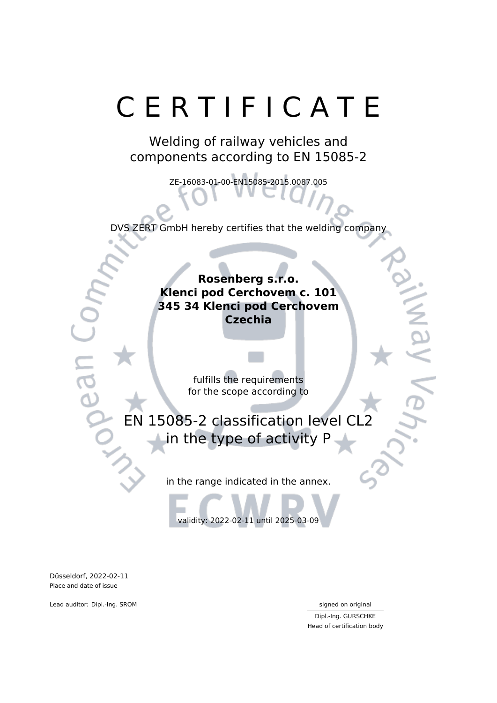# C E R T I F I C A T E

Welding of railway vehicles and components according to EN 15085-2

ZE-16083-01-00-EN15085-2015.0087.005

DVS ZERT GmbH hereby certifies that the welding company

**Rosenberg s.r.o. Klenci pod Cerchovem c. 101 345 34 Klenci pod Cerchovem Czechia**

> fulfills the requirements for the scope according to

EN 15085-2 classification level CL2 in the type of activity P

in the range indicated in the annex.

validity: 2022-02-11 until 2025-03-09

Düsseldorf, 2022-02-11 Place and date of issue

Lead auditor: Dipl.-Ing. SROM signed on original

Dipl.-Ing. GURSCHKE Head of certification body